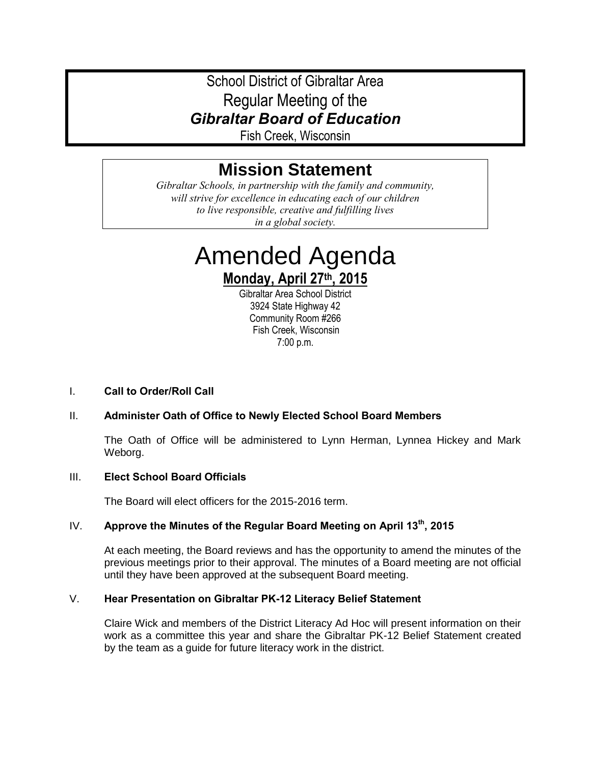School District of Gibraltar Area Regular Meeting of the *Gibraltar Board of Education*

Fish Creek, Wisconsin

# **Mission Statement**

*Gibraltar Schools, in partnership with the family and community, will strive for excellence in educating each of our children to live responsible, creative and fulfilling lives in a global society.*

# Amended Agenda **Monday, April 27th, 2015**

Gibraltar Area School District 3924 State Highway 42 Community Room #266 Fish Creek, Wisconsin 7:00 p.m.

#### I. **Call to Order/Roll Call**

#### II. **Administer Oath of Office to Newly Elected School Board Members**

The Oath of Office will be administered to Lynn Herman, Lynnea Hickey and Mark Weborg.

#### III. **Elect School Board Officials**

The Board will elect officers for the 2015-2016 term.

### IV. **Approve the Minutes of the Regular Board Meeting on April 13th, 2015**

At each meeting, the Board reviews and has the opportunity to amend the minutes of the previous meetings prior to their approval. The minutes of a Board meeting are not official until they have been approved at the subsequent Board meeting.

#### V. **Hear Presentation on Gibraltar PK-12 Literacy Belief Statement**

Claire Wick and members of the District Literacy Ad Hoc will present information on their work as a committee this year and share the Gibraltar PK-12 Belief Statement created by the team as a guide for future literacy work in the district.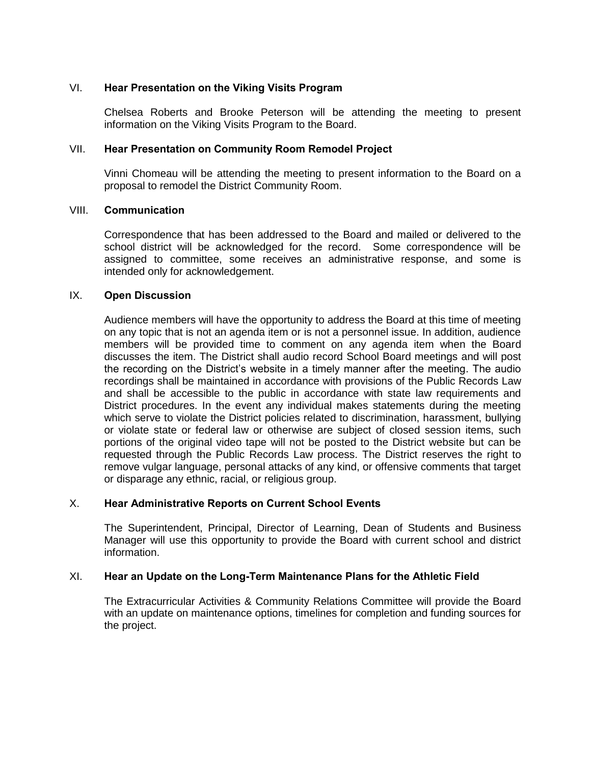#### VI. **Hear Presentation on the Viking Visits Program**

Chelsea Roberts and Brooke Peterson will be attending the meeting to present information on the Viking Visits Program to the Board.

#### VII. **Hear Presentation on Community Room Remodel Project**

Vinni Chomeau will be attending the meeting to present information to the Board on a proposal to remodel the District Community Room.

#### VIII. **Communication**

Correspondence that has been addressed to the Board and mailed or delivered to the school district will be acknowledged for the record. Some correspondence will be assigned to committee, some receives an administrative response, and some is intended only for acknowledgement.

#### IX. **Open Discussion**

Audience members will have the opportunity to address the Board at this time of meeting on any topic that is not an agenda item or is not a personnel issue. In addition, audience members will be provided time to comment on any agenda item when the Board discusses the item. The District shall audio record School Board meetings and will post the recording on the District's website in a timely manner after the meeting. The audio recordings shall be maintained in accordance with provisions of the Public Records Law and shall be accessible to the public in accordance with state law requirements and District procedures. In the event any individual makes statements during the meeting which serve to violate the District policies related to discrimination, harassment, bullying or violate state or federal law or otherwise are subject of closed session items, such portions of the original video tape will not be posted to the District website but can be requested through the Public Records Law process. The District reserves the right to remove vulgar language, personal attacks of any kind, or offensive comments that target or disparage any ethnic, racial, or religious group.

#### X. **Hear Administrative Reports on Current School Events**

The Superintendent, Principal, Director of Learning, Dean of Students and Business Manager will use this opportunity to provide the Board with current school and district information.

#### XI. **Hear an Update on the Long-Term Maintenance Plans for the Athletic Field**

The Extracurricular Activities & Community Relations Committee will provide the Board with an update on maintenance options, timelines for completion and funding sources for the project.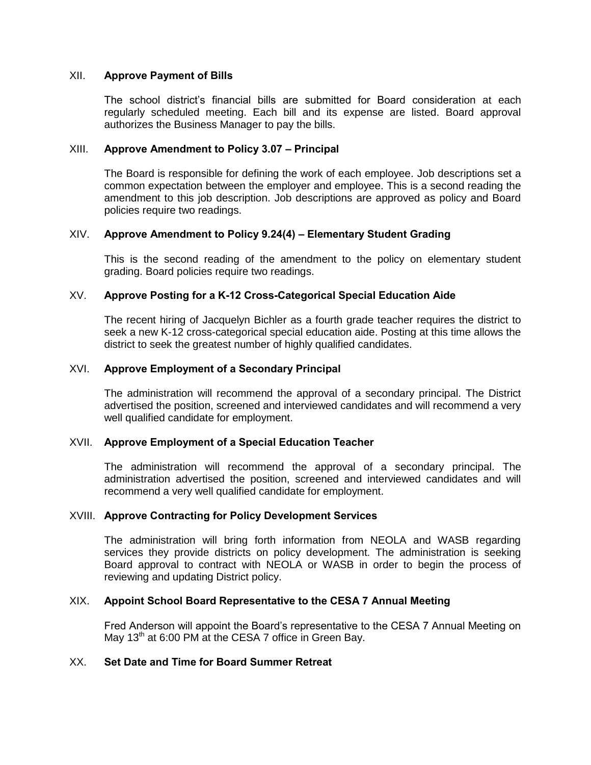#### XII. **Approve Payment of Bills**

The school district's financial bills are submitted for Board consideration at each regularly scheduled meeting. Each bill and its expense are listed. Board approval authorizes the Business Manager to pay the bills.

#### XIII. **Approve Amendment to Policy 3.07 – Principal**

The Board is responsible for defining the work of each employee. Job descriptions set a common expectation between the employer and employee. This is a second reading the amendment to this job description. Job descriptions are approved as policy and Board policies require two readings.

#### XIV. **Approve Amendment to Policy 9.24(4) – Elementary Student Grading**

This is the second reading of the amendment to the policy on elementary student grading. Board policies require two readings.

#### XV. **Approve Posting for a K-12 Cross-Categorical Special Education Aide**

The recent hiring of Jacquelyn Bichler as a fourth grade teacher requires the district to seek a new K-12 cross-categorical special education aide. Posting at this time allows the district to seek the greatest number of highly qualified candidates.

#### XVI. **Approve Employment of a Secondary Principal**

The administration will recommend the approval of a secondary principal. The District advertised the position, screened and interviewed candidates and will recommend a very well qualified candidate for employment.

#### XVII. **Approve Employment of a Special Education Teacher**

The administration will recommend the approval of a secondary principal. The administration advertised the position, screened and interviewed candidates and will recommend a very well qualified candidate for employment.

#### XVIII. **Approve Contracting for Policy Development Services**

The administration will bring forth information from NEOLA and WASB regarding services they provide districts on policy development. The administration is seeking Board approval to contract with NEOLA or WASB in order to begin the process of reviewing and updating District policy.

#### XIX. **Appoint School Board Representative to the CESA 7 Annual Meeting**

Fred Anderson will appoint the Board's representative to the CESA 7 Annual Meeting on May 13<sup>th</sup> at 6:00 PM at the CESA 7 office in Green Bay.

## XX. **Set Date and Time for Board Summer Retreat**